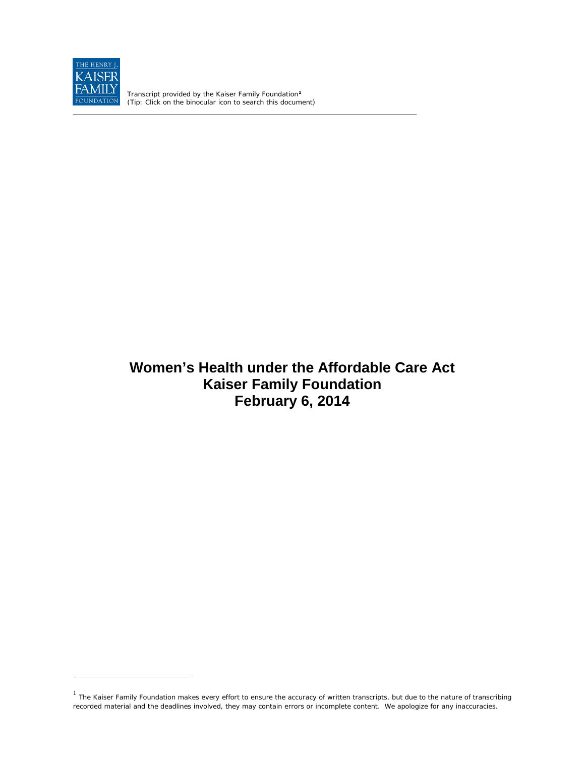

 $\overline{a}$ 

Transcript provided by the Kaiser Family Foundation**[1](#page-0-0)** *(Tip: Click on the binocular icon to search this document)*

# **Women's Health under the Affordable Care Act Kaiser Family Foundation February 6, 2014**

<span id="page-0-0"></span> $1$  The Kaiser Family Foundation makes every effort to ensure the accuracy of written transcripts, but due to the nature of transcribing recorded material and the deadlines involved, they may contain errors or incomplete content. We apologize for any inaccuracies.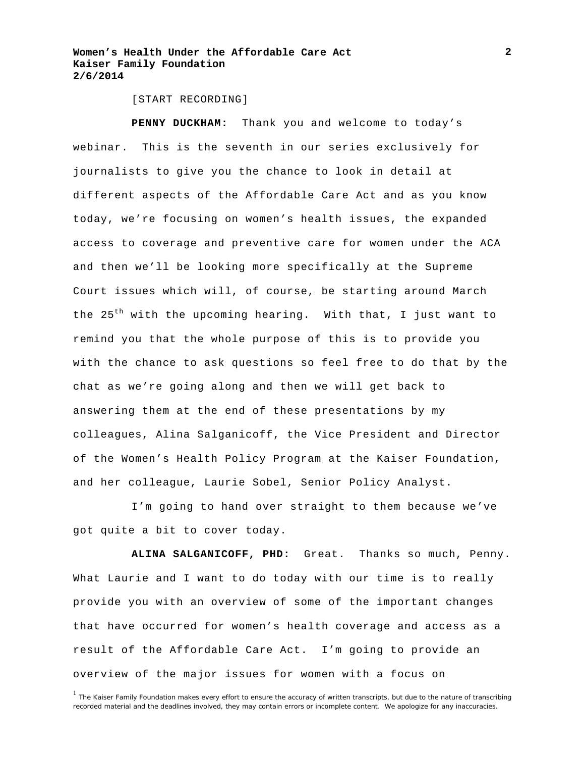[START RECORDING]

**PENNY DUCKHAM:** Thank you and welcome to today's webinar. This is the seventh in our series exclusively for journalists to give you the chance to look in detail at different aspects of the Affordable Care Act and as you know today, we're focusing on women's health issues, the expanded access to coverage and preventive care for women under the ACA and then we'll be looking more specifically at the Supreme Court issues which will, of course, be starting around March the  $25<sup>th</sup>$  with the upcoming hearing. With that, I just want to remind you that the whole purpose of this is to provide you with the chance to ask questions so feel free to do that by the chat as we're going along and then we will get back to answering them at the end of these presentations by my colleagues, Alina Salganicoff, the Vice President and Director of the Women's Health Policy Program at the Kaiser Foundation, and her colleague, Laurie Sobel, Senior Policy Analyst.

I'm going to hand over straight to them because we've got quite a bit to cover today.

**ALINA SALGANICOFF, PHD:** Great. Thanks so much, Penny. What Laurie and I want to do today with our time is to really provide you with an overview of some of the important changes that have occurred for women's health coverage and access as a result of the Affordable Care Act. I'm going to provide an overview of the major issues for women with a focus on

<sup>&</sup>lt;sup>1</sup> The Kaiser Family Foundation makes every effort to ensure the accuracy of written transcripts, but due to the nature of transcribing recorded material and the deadlines involved, they may contain errors or incomplete content. We apologize for any inaccuracies.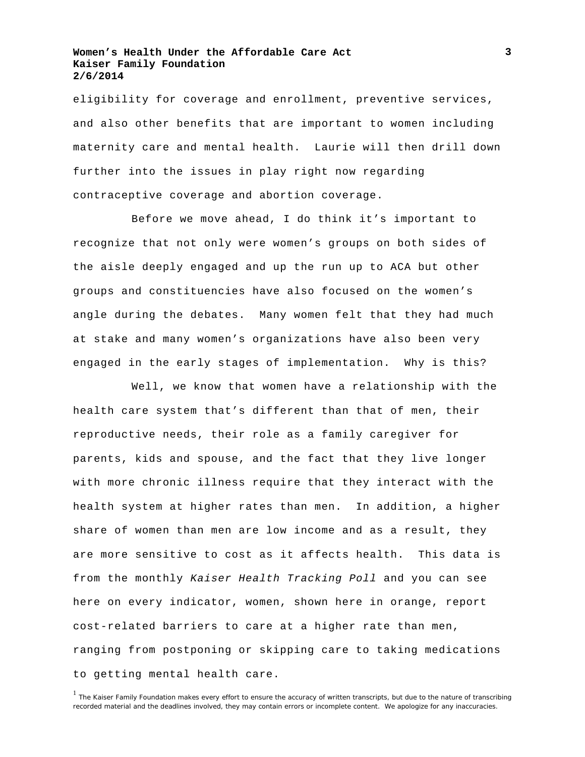eligibility for coverage and enrollment, preventive services, and also other benefits that are important to women including maternity care and mental health. Laurie will then drill down further into the issues in play right now regarding contraceptive coverage and abortion coverage.

Before we move ahead, I do think it's important to recognize that not only were women's groups on both sides of the aisle deeply engaged and up the run up to ACA but other groups and constituencies have also focused on the women's angle during the debates. Many women felt that they had much at stake and many women's organizations have also been very engaged in the early stages of implementation. Why is this?

Well, we know that women have a relationship with the health care system that's different than that of men, their reproductive needs, their role as a family caregiver for parents, kids and spouse, and the fact that they live longer with more chronic illness require that they interact with the health system at higher rates than men. In addition, a higher share of women than men are low income and as a result, they are more sensitive to cost as it affects health. This data is from the monthly *Kaiser Health Tracking Poll* and you can see here on every indicator, women, shown here in orange, report cost-related barriers to care at a higher rate than men, ranging from postponing or skipping care to taking medications to getting mental health care.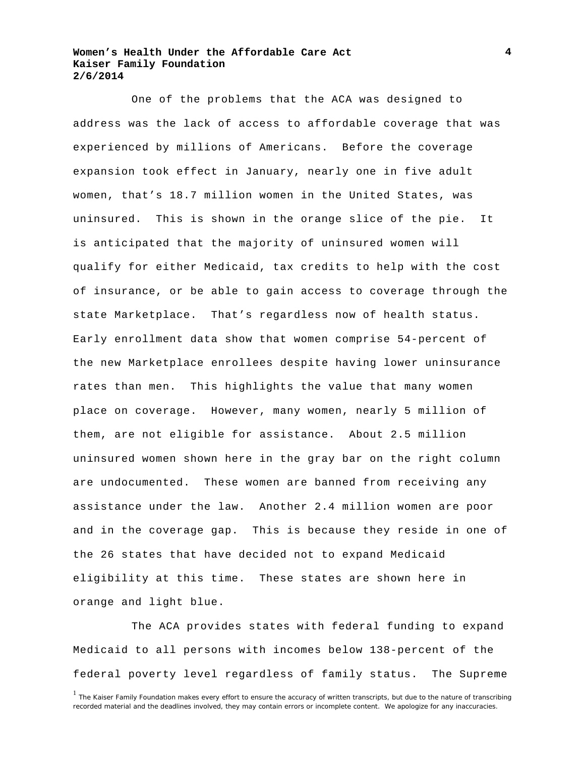One of the problems that the ACA was designed to address was the lack of access to affordable coverage that was experienced by millions of Americans. Before the coverage expansion took effect in January, nearly one in five adult women, that's 18.7 million women in the United States, was uninsured. This is shown in the orange slice of the pie. It is anticipated that the majority of uninsured women will qualify for either Medicaid, tax credits to help with the cost of insurance, or be able to gain access to coverage through the state Marketplace. That's regardless now of health status. Early enrollment data show that women comprise 54-percent of the new Marketplace enrollees despite having lower uninsurance rates than men. This highlights the value that many women place on coverage. However, many women, nearly 5 million of them, are not eligible for assistance. About 2.5 million uninsured women shown here in the gray bar on the right column are undocumented. These women are banned from receiving any assistance under the law. Another 2.4 million women are poor and in the coverage gap. This is because they reside in one of the 26 states that have decided not to expand Medicaid eligibility at this time. These states are shown here in orange and light blue.

The ACA provides states with federal funding to expand Medicaid to all persons with incomes below 138-percent of the federal poverty level regardless of family status. The Supreme

<sup>&</sup>lt;sup>1</sup> The Kaiser Family Foundation makes every effort to ensure the accuracy of written transcripts, but due to the nature of transcribing recorded material and the deadlines involved, they may contain errors or incomplete content. We apologize for any inaccuracies.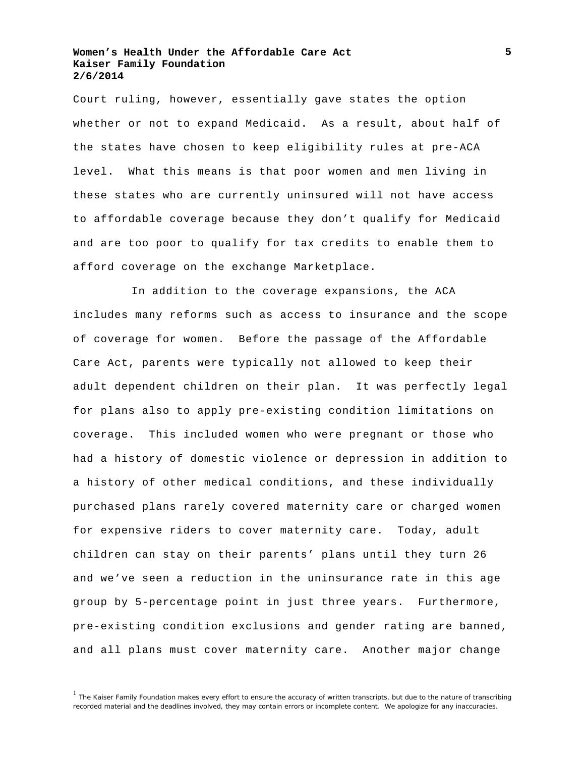Court ruling, however, essentially gave states the option whether or not to expand Medicaid. As a result, about half of the states have chosen to keep eligibility rules at pre-ACA level. What this means is that poor women and men living in these states who are currently uninsured will not have access to affordable coverage because they don't qualify for Medicaid and are too poor to qualify for tax credits to enable them to afford coverage on the exchange Marketplace.

In addition to the coverage expansions, the ACA includes many reforms such as access to insurance and the scope of coverage for women. Before the passage of the Affordable Care Act, parents were typically not allowed to keep their adult dependent children on their plan. It was perfectly legal for plans also to apply pre-existing condition limitations on coverage. This included women who were pregnant or those who had a history of domestic violence or depression in addition to a history of other medical conditions, and these individually purchased plans rarely covered maternity care or charged women for expensive riders to cover maternity care. Today, adult children can stay on their parents' plans until they turn 26 and we've seen a reduction in the uninsurance rate in this age group by 5-percentage point in just three years. Furthermore, pre-existing condition exclusions and gender rating are banned, and all plans must cover maternity care. Another major change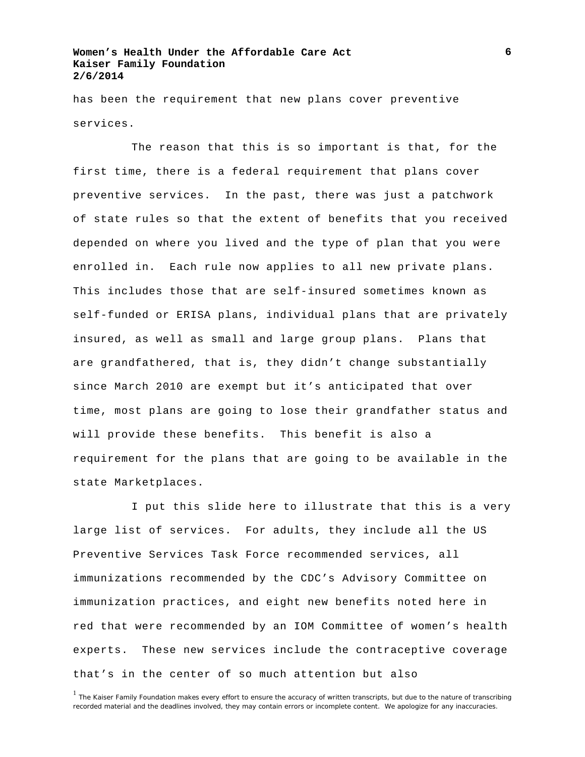has been the requirement that new plans cover preventive services.

The reason that this is so important is that, for the first time, there is a federal requirement that plans cover preventive services. In the past, there was just a patchwork of state rules so that the extent of benefits that you received depended on where you lived and the type of plan that you were enrolled in. Each rule now applies to all new private plans. This includes those that are self-insured sometimes known as self-funded or ERISA plans, individual plans that are privately insured, as well as small and large group plans. Plans that are grandfathered, that is, they didn't change substantially since March 2010 are exempt but it's anticipated that over time, most plans are going to lose their grandfather status and will provide these benefits. This benefit is also a requirement for the plans that are going to be available in the state Marketplaces.

I put this slide here to illustrate that this is a very large list of services. For adults, they include all the US Preventive Services Task Force recommended services, all immunizations recommended by the CDC's Advisory Committee on immunization practices, and eight new benefits noted here in red that were recommended by an IOM Committee of women's health experts. These new services include the contraceptive coverage that's in the center of so much attention but also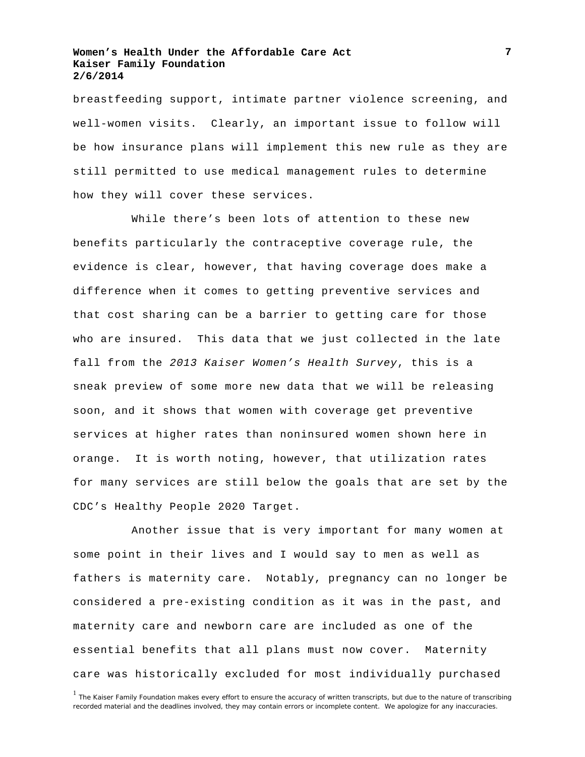breastfeeding support, intimate partner violence screening, and well-women visits. Clearly, an important issue to follow will be how insurance plans will implement this new rule as they are still permitted to use medical management rules to determine how they will cover these services.

While there's been lots of attention to these new benefits particularly the contraceptive coverage rule, the evidence is clear, however, that having coverage does make a difference when it comes to getting preventive services and that cost sharing can be a barrier to getting care for those who are insured. This data that we just collected in the late fall from the *2013 Kaiser Women's Health Survey*, this is a sneak preview of some more new data that we will be releasing soon, and it shows that women with coverage get preventive services at higher rates than noninsured women shown here in orange. It is worth noting, however, that utilization rates for many services are still below the goals that are set by the CDC's Healthy People 2020 Target.

Another issue that is very important for many women at some point in their lives and I would say to men as well as fathers is maternity care. Notably, pregnancy can no longer be considered a pre-existing condition as it was in the past, and maternity care and newborn care are included as one of the essential benefits that all plans must now cover. Maternity care was historically excluded for most individually purchased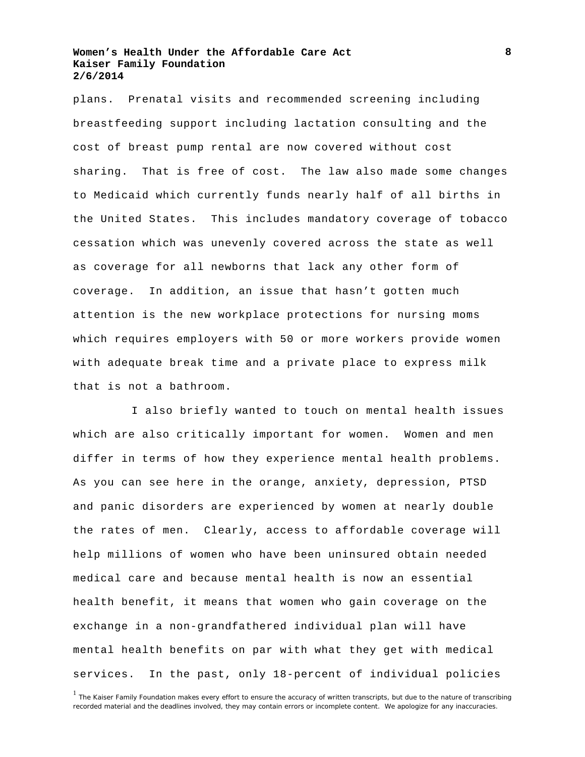plans. Prenatal visits and recommended screening including breastfeeding support including lactation consulting and the cost of breast pump rental are now covered without cost sharing. That is free of cost. The law also made some changes to Medicaid which currently funds nearly half of all births in the United States. This includes mandatory coverage of tobacco cessation which was unevenly covered across the state as well as coverage for all newborns that lack any other form of coverage. In addition, an issue that hasn't gotten much attention is the new workplace protections for nursing moms which requires employers with 50 or more workers provide women with adequate break time and a private place to express milk that is not a bathroom.

I also briefly wanted to touch on mental health issues which are also critically important for women. Women and men differ in terms of how they experience mental health problems. As you can see here in the orange, anxiety, depression, PTSD and panic disorders are experienced by women at nearly double the rates of men. Clearly, access to affordable coverage will help millions of women who have been uninsured obtain needed medical care and because mental health is now an essential health benefit, it means that women who gain coverage on the exchange in a non-grandfathered individual plan will have mental health benefits on par with what they get with medical services. In the past, only 18-percent of individual policies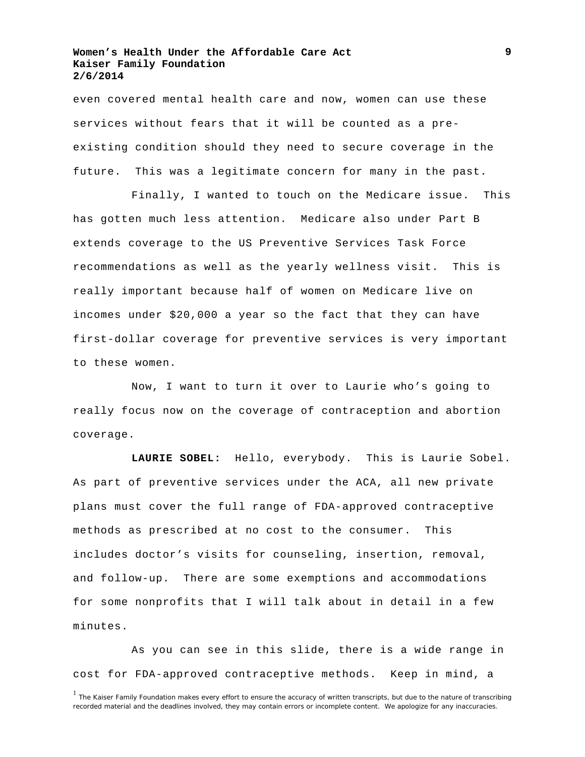even covered mental health care and now, women can use these services without fears that it will be counted as a preexisting condition should they need to secure coverage in the future. This was a legitimate concern for many in the past.

Finally, I wanted to touch on the Medicare issue. This has gotten much less attention. Medicare also under Part B extends coverage to the US Preventive Services Task Force recommendations as well as the yearly wellness visit. This is really important because half of women on Medicare live on incomes under \$20,000 a year so the fact that they can have first-dollar coverage for preventive services is very important to these women.

Now, I want to turn it over to Laurie who's going to really focus now on the coverage of contraception and abortion coverage.

**LAURIE SOBEL:** Hello, everybody. This is Laurie Sobel. As part of preventive services under the ACA, all new private plans must cover the full range of FDA-approved contraceptive methods as prescribed at no cost to the consumer. This includes doctor's visits for counseling, insertion, removal, and follow-up. There are some exemptions and accommodations for some nonprofits that I will talk about in detail in a few minutes.

As you can see in this slide, there is a wide range in cost for FDA-approved contraceptive methods. Keep in mind, a

<sup>&</sup>lt;sup>1</sup> The Kaiser Family Foundation makes every effort to ensure the accuracy of written transcripts, but due to the nature of transcribing recorded material and the deadlines involved, they may contain errors or incomplete content. We apologize for any inaccuracies.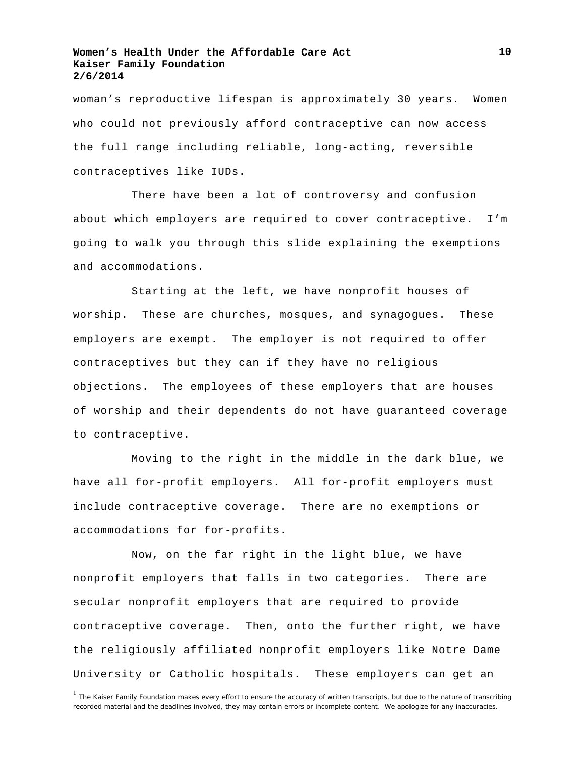woman's reproductive lifespan is approximately 30 years. Women who could not previously afford contraceptive can now access the full range including reliable, long-acting, reversible contraceptives like IUDs.

There have been a lot of controversy and confusion about which employers are required to cover contraceptive. I'm going to walk you through this slide explaining the exemptions and accommodations.

Starting at the left, we have nonprofit houses of worship. These are churches, mosques, and synagogues. These employers are exempt. The employer is not required to offer contraceptives but they can if they have no religious objections. The employees of these employers that are houses of worship and their dependents do not have guaranteed coverage to contraceptive.

Moving to the right in the middle in the dark blue, we have all for-profit employers. All for-profit employers must include contraceptive coverage. There are no exemptions or accommodations for for-profits.

Now, on the far right in the light blue, we have nonprofit employers that falls in two categories. There are secular nonprofit employers that are required to provide contraceptive coverage. Then, onto the further right, we have the religiously affiliated nonprofit employers like Notre Dame University or Catholic hospitals. These employers can get an

<sup>&</sup>lt;sup>1</sup> The Kaiser Family Foundation makes every effort to ensure the accuracy of written transcripts, but due to the nature of transcribing recorded material and the deadlines involved, they may contain errors or incomplete content. We apologize for any inaccuracies.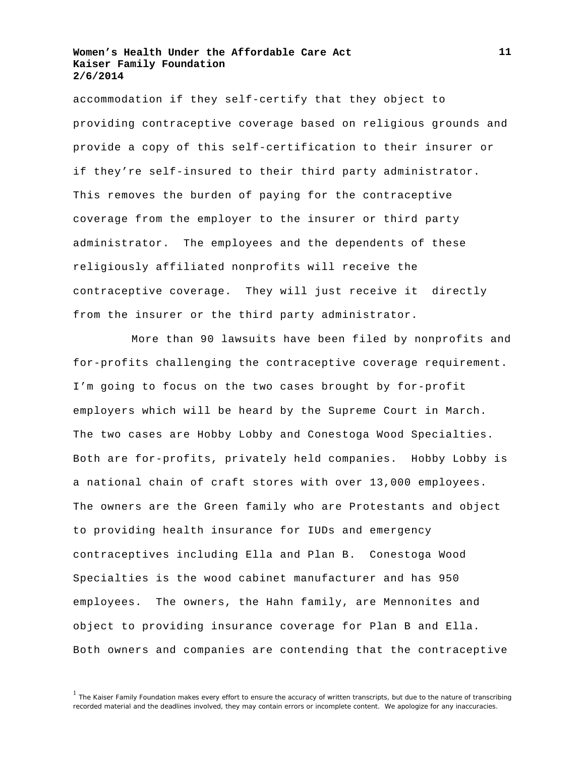accommodation if they self-certify that they object to providing contraceptive coverage based on religious grounds and provide a copy of this self-certification to their insurer or if they're self-insured to their third party administrator. This removes the burden of paying for the contraceptive coverage from the employer to the insurer or third party administrator. The employees and the dependents of these religiously affiliated nonprofits will receive the contraceptive coverage. They will just receive it directly from the insurer or the third party administrator.

More than 90 lawsuits have been filed by nonprofits and for-profits challenging the contraceptive coverage requirement. I'm going to focus on the two cases brought by for-profit employers which will be heard by the Supreme Court in March. The two cases are Hobby Lobby and Conestoga Wood Specialties. Both are for-profits, privately held companies. Hobby Lobby is a national chain of craft stores with over 13,000 employees. The owners are the Green family who are Protestants and object to providing health insurance for IUDs and emergency contraceptives including Ella and Plan B. Conestoga Wood Specialties is the wood cabinet manufacturer and has 950 employees. The owners, the Hahn family, are Mennonites and object to providing insurance coverage for Plan B and Ella. Both owners and companies are contending that the contraceptive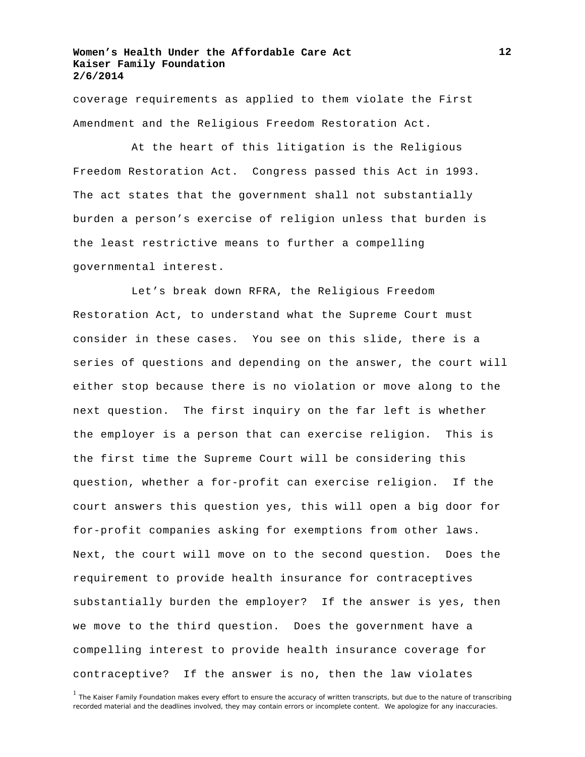coverage requirements as applied to them violate the First Amendment and the Religious Freedom Restoration Act.

At the heart of this litigation is the Religious Freedom Restoration Act. Congress passed this Act in 1993. The act states that the government shall not substantially burden a person's exercise of religion unless that burden is the least restrictive means to further a compelling governmental interest.

Let's break down RFRA, the Religious Freedom Restoration Act, to understand what the Supreme Court must consider in these cases. You see on this slide, there is a series of questions and depending on the answer, the court will either stop because there is no violation or move along to the next question. The first inquiry on the far left is whether the employer is a person that can exercise religion. This is the first time the Supreme Court will be considering this question, whether a for-profit can exercise religion. If the court answers this question yes, this will open a big door for for-profit companies asking for exemptions from other laws. Next, the court will move on to the second question. Does the requirement to provide health insurance for contraceptives substantially burden the employer? If the answer is yes, then we move to the third question. Does the government have a compelling interest to provide health insurance coverage for contraceptive? If the answer is no, then the law violates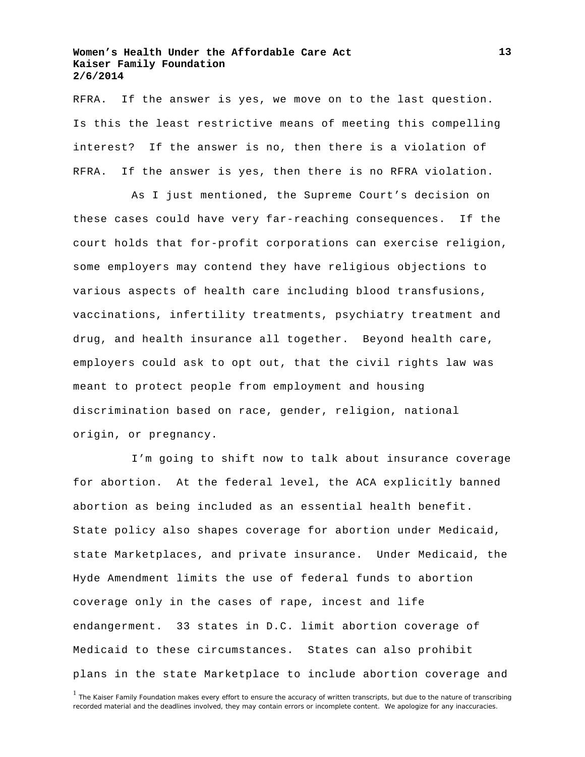RFRA. If the answer is yes, we move on to the last question. Is this the least restrictive means of meeting this compelling interest? If the answer is no, then there is a violation of RFRA. If the answer is yes, then there is no RFRA violation.

As I just mentioned, the Supreme Court's decision on these cases could have very far-reaching consequences. If the court holds that for-profit corporations can exercise religion, some employers may contend they have religious objections to various aspects of health care including blood transfusions, vaccinations, infertility treatments, psychiatry treatment and drug, and health insurance all together. Beyond health care, employers could ask to opt out, that the civil rights law was meant to protect people from employment and housing discrimination based on race, gender, religion, national origin, or pregnancy.

I'm going to shift now to talk about insurance coverage for abortion. At the federal level, the ACA explicitly banned abortion as being included as an essential health benefit. State policy also shapes coverage for abortion under Medicaid, state Marketplaces, and private insurance. Under Medicaid, the Hyde Amendment limits the use of federal funds to abortion coverage only in the cases of rape, incest and life endangerment. 33 states in D.C. limit abortion coverage of Medicaid to these circumstances. States can also prohibit plans in the state Marketplace to include abortion coverage and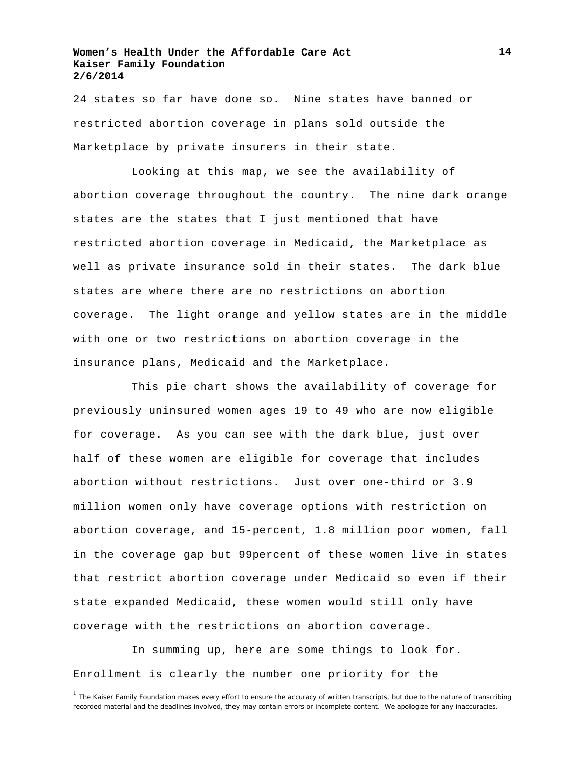24 states so far have done so. Nine states have banned or restricted abortion coverage in plans sold outside the Marketplace by private insurers in their state.

Looking at this map, we see the availability of abortion coverage throughout the country. The nine dark orange states are the states that I just mentioned that have restricted abortion coverage in Medicaid, the Marketplace as well as private insurance sold in their states. The dark blue states are where there are no restrictions on abortion coverage. The light orange and yellow states are in the middle with one or two restrictions on abortion coverage in the insurance plans, Medicaid and the Marketplace.

This pie chart shows the availability of coverage for previously uninsured women ages 19 to 49 who are now eligible for coverage. As you can see with the dark blue, just over half of these women are eligible for coverage that includes abortion without restrictions. Just over one-third or 3.9 million women only have coverage options with restriction on abortion coverage, and 15-percent, 1.8 million poor women, fall in the coverage gap but 99percent of these women live in states that restrict abortion coverage under Medicaid so even if their state expanded Medicaid, these women would still only have coverage with the restrictions on abortion coverage.

In summing up, here are some things to look for. Enrollment is clearly the number one priority for the

<sup>&</sup>lt;sup>1</sup> The Kaiser Family Foundation makes every effort to ensure the accuracy of written transcripts, but due to the nature of transcribing recorded material and the deadlines involved, they may contain errors or incomplete content. We apologize for any inaccuracies.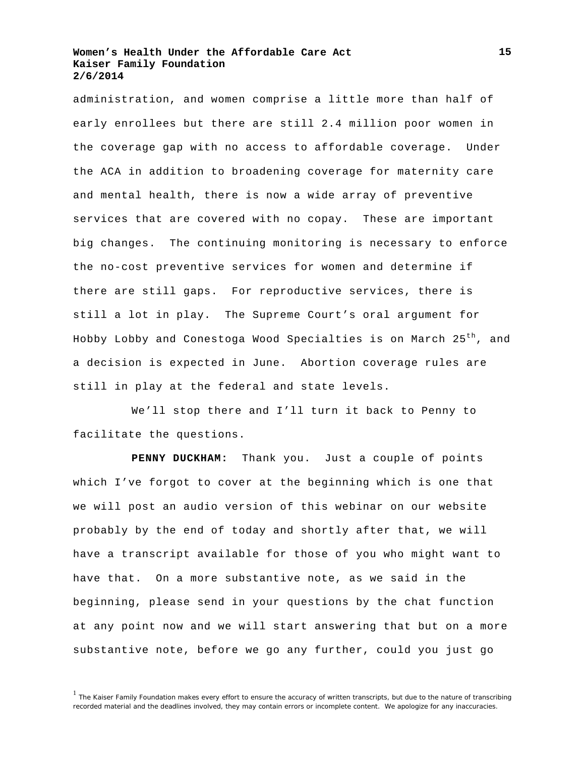administration, and women comprise a little more than half of early enrollees but there are still 2.4 million poor women in the coverage gap with no access to affordable coverage. Under the ACA in addition to broadening coverage for maternity care and mental health, there is now a wide array of preventive services that are covered with no copay. These are important big changes. The continuing monitoring is necessary to enforce the no-cost preventive services for women and determine if there are still gaps. For reproductive services, there is still a lot in play. The Supreme Court's oral argument for Hobby Lobby and Conestoga Wood Specialties is on March 25<sup>th</sup>, and a decision is expected in June. Abortion coverage rules are still in play at the federal and state levels.

We'll stop there and I'll turn it back to Penny to facilitate the questions.

**PENNY DUCKHAM:** Thank you. Just a couple of points which I've forgot to cover at the beginning which is one that we will post an audio version of this webinar on our website probably by the end of today and shortly after that, we will have a transcript available for those of you who might want to have that. On a more substantive note, as we said in the beginning, please send in your questions by the chat function at any point now and we will start answering that but on a more substantive note, before we go any further, could you just go

<sup>&</sup>lt;sup>1</sup> The Kaiser Family Foundation makes every effort to ensure the accuracy of written transcripts, but due to the nature of transcribing recorded material and the deadlines involved, they may contain errors or incomplete content. We apologize for any inaccuracies.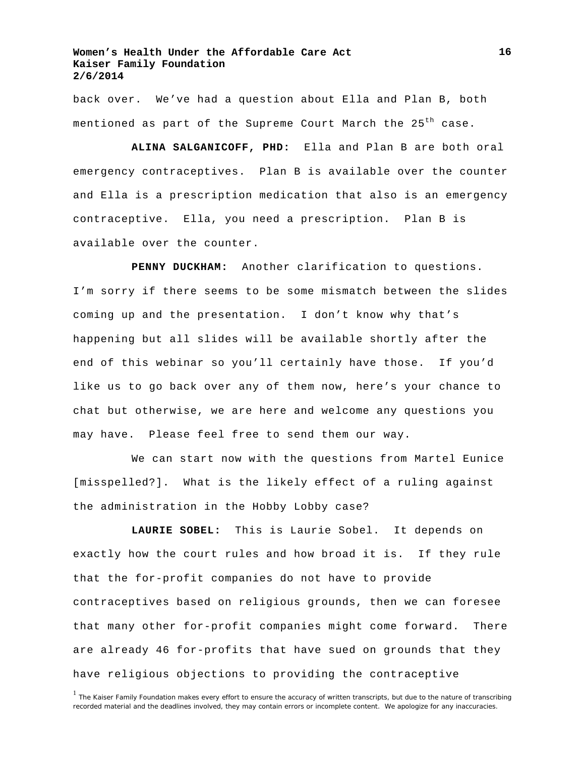back over. We've had a question about Ella and Plan B, both mentioned as part of the Supreme Court March the 25<sup>th</sup> case.

**ALINA SALGANICOFF, PHD:** Ella and Plan B are both oral emergency contraceptives. Plan B is available over the counter and Ella is a prescription medication that also is an emergency contraceptive. Ella, you need a prescription. Plan B is available over the counter.

**PENNY DUCKHAM:** Another clarification to questions. I'm sorry if there seems to be some mismatch between the slides coming up and the presentation. I don't know why that's happening but all slides will be available shortly after the end of this webinar so you'll certainly have those. If you'd like us to go back over any of them now, here's your chance to chat but otherwise, we are here and welcome any questions you may have. Please feel free to send them our way.

We can start now with the questions from Martel Eunice [misspelled?]. What is the likely effect of a ruling against the administration in the Hobby Lobby case?

**LAURIE SOBEL:** This is Laurie Sobel. It depends on exactly how the court rules and how broad it is. If they rule that the for-profit companies do not have to provide contraceptives based on religious grounds, then we can foresee that many other for-profit companies might come forward. There are already 46 for-profits that have sued on grounds that they have religious objections to providing the contraceptive

<sup>&</sup>lt;sup>1</sup> The Kaiser Family Foundation makes every effort to ensure the accuracy of written transcripts, but due to the nature of transcribing recorded material and the deadlines involved, they may contain errors or incomplete content. We apologize for any inaccuracies.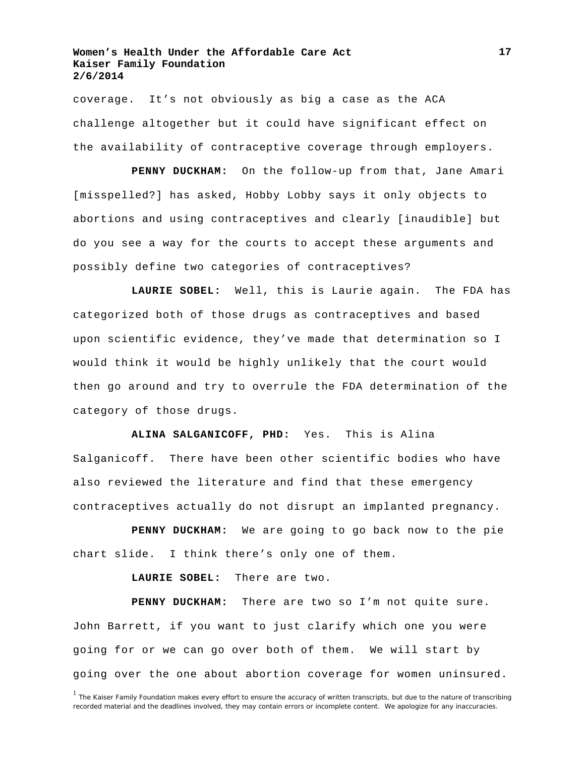coverage. It's not obviously as big a case as the ACA challenge altogether but it could have significant effect on the availability of contraceptive coverage through employers.

**PENNY DUCKHAM:** On the follow-up from that, Jane Amari [misspelled?] has asked, Hobby Lobby says it only objects to abortions and using contraceptives and clearly [inaudible] but do you see a way for the courts to accept these arguments and possibly define two categories of contraceptives?

**LAURIE SOBEL:** Well, this is Laurie again. The FDA has categorized both of those drugs as contraceptives and based upon scientific evidence, they've made that determination so I would think it would be highly unlikely that the court would then go around and try to overrule the FDA determination of the category of those drugs.

**ALINA SALGANICOFF, PHD:** Yes. This is Alina Salganicoff. There have been other scientific bodies who have also reviewed the literature and find that these emergency contraceptives actually do not disrupt an implanted pregnancy.

**PENNY DUCKHAM:** We are going to go back now to the pie chart slide. I think there's only one of them.

**LAURIE SOBEL:** There are two.

**PENNY DUCKHAM:** There are two so I'm not quite sure. John Barrett, if you want to just clarify which one you were going for or we can go over both of them. We will start by going over the one about abortion coverage for women uninsured.

<sup>&</sup>lt;sup>1</sup> The Kaiser Family Foundation makes every effort to ensure the accuracy of written transcripts, but due to the nature of transcribing recorded material and the deadlines involved, they may contain errors or incomplete content. We apologize for any inaccuracies.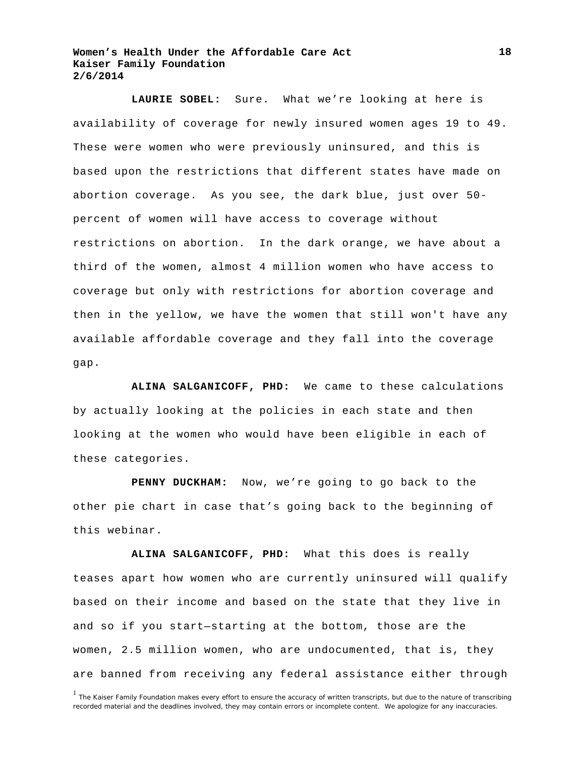**LAURIE SOBEL:** Sure. What we're looking at here is availability of coverage for newly insured women ages 19 to 49. These were women who were previously uninsured, and this is based upon the restrictions that different states have made on abortion coverage. As you see, the dark blue, just over 50 percent of women will have access to coverage without restrictions on abortion. In the dark orange, we have about a third of the women, almost 4 million women who have access to coverage but only with restrictions for abortion coverage and then in the yellow, we have the women that still won't have any available affordable coverage and they fall into the coverage gap.

**ALINA SALGANICOFF, PHD:** We came to these calculations by actually looking at the policies in each state and then looking at the women who would have been eligible in each of these categories.

**PENNY DUCKHAM:** Now, we're going to go back to the other pie chart in case that's going back to the beginning of this webinar.

**ALINA SALGANICOFF, PHD:** What this does is really teases apart how women who are currently uninsured will qualify based on their income and based on the state that they live in and so if you start—starting at the bottom, those are the women, 2.5 million women, who are undocumented, that is, they are banned from receiving any federal assistance either through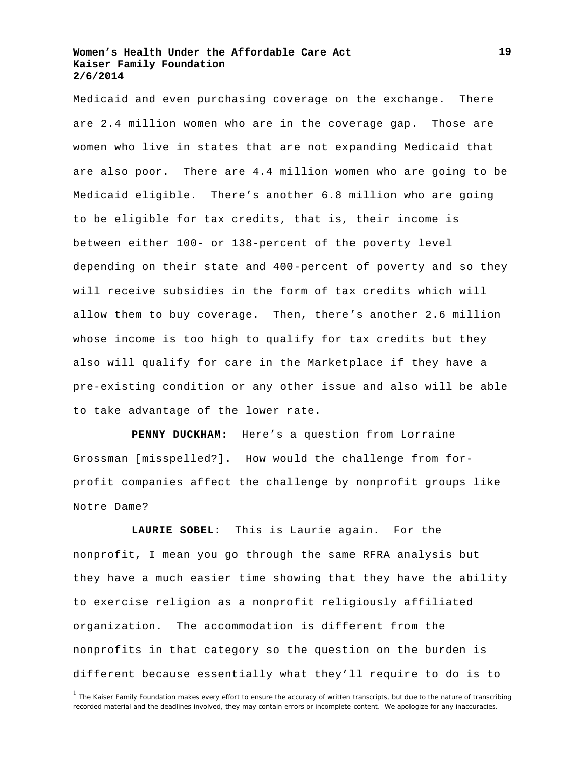Medicaid and even purchasing coverage on the exchange. There are 2.4 million women who are in the coverage gap. Those are women who live in states that are not expanding Medicaid that are also poor. There are 4.4 million women who are going to be Medicaid eligible. There's another 6.8 million who are going to be eligible for tax credits, that is, their income is between either 100- or 138-percent of the poverty level depending on their state and 400-percent of poverty and so they will receive subsidies in the form of tax credits which will allow them to buy coverage. Then, there's another 2.6 million whose income is too high to qualify for tax credits but they also will qualify for care in the Marketplace if they have a pre-existing condition or any other issue and also will be able to take advantage of the lower rate.

**PENNY DUCKHAM:** Here's a question from Lorraine Grossman [misspelled?]. How would the challenge from forprofit companies affect the challenge by nonprofit groups like Notre Dame?

**LAURIE SOBEL:** This is Laurie again. For the nonprofit, I mean you go through the same RFRA analysis but they have a much easier time showing that they have the ability to exercise religion as a nonprofit religiously affiliated organization. The accommodation is different from the nonprofits in that category so the question on the burden is different because essentially what they'll require to do is to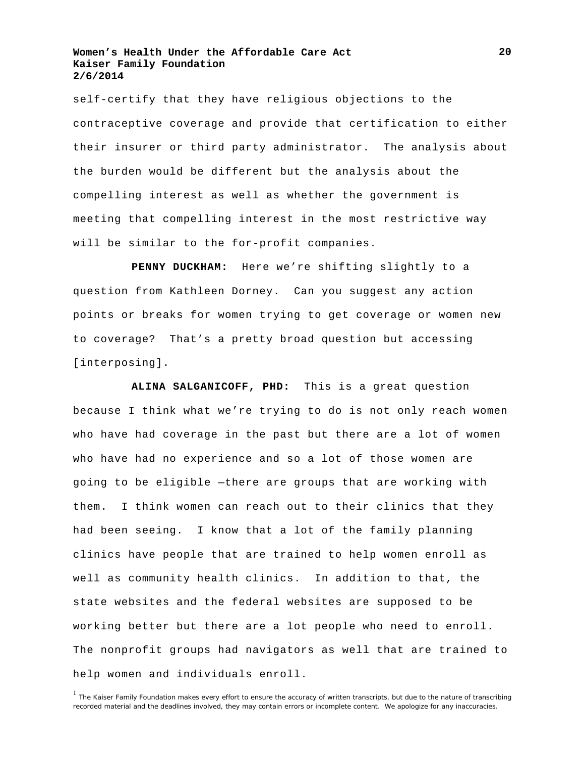self-certify that they have religious objections to the contraceptive coverage and provide that certification to either their insurer or third party administrator. The analysis about the burden would be different but the analysis about the compelling interest as well as whether the government is meeting that compelling interest in the most restrictive way will be similar to the for-profit companies.

**PENNY DUCKHAM:** Here we're shifting slightly to a question from Kathleen Dorney. Can you suggest any action points or breaks for women trying to get coverage or women new to coverage? That's a pretty broad question but accessing [interposing].

**ALINA SALGANICOFF, PHD:** This is a great question because I think what we're trying to do is not only reach women who have had coverage in the past but there are a lot of women who have had no experience and so a lot of those women are going to be eligible —there are groups that are working with them. I think women can reach out to their clinics that they had been seeing. I know that a lot of the family planning clinics have people that are trained to help women enroll as well as community health clinics. In addition to that, the state websites and the federal websites are supposed to be working better but there are a lot people who need to enroll. The nonprofit groups had navigators as well that are trained to help women and individuals enroll.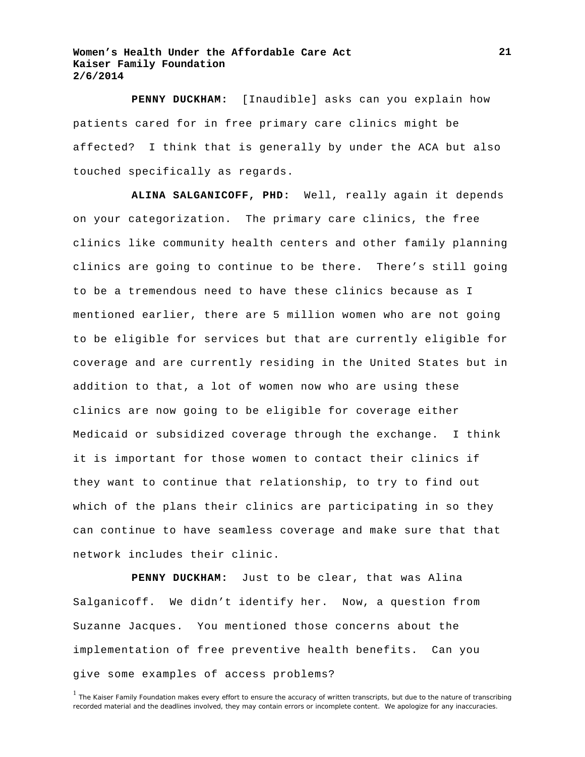**PENNY DUCKHAM:** [Inaudible] asks can you explain how patients cared for in free primary care clinics might be affected? I think that is generally by under the ACA but also touched specifically as regards.

**ALINA SALGANICOFF, PHD:** Well, really again it depends on your categorization. The primary care clinics, the free clinics like community health centers and other family planning clinics are going to continue to be there. There's still going to be a tremendous need to have these clinics because as I mentioned earlier, there are 5 million women who are not going to be eligible for services but that are currently eligible for coverage and are currently residing in the United States but in addition to that, a lot of women now who are using these clinics are now going to be eligible for coverage either Medicaid or subsidized coverage through the exchange. I think it is important for those women to contact their clinics if they want to continue that relationship, to try to find out which of the plans their clinics are participating in so they can continue to have seamless coverage and make sure that that network includes their clinic.

**PENNY DUCKHAM:** Just to be clear, that was Alina Salganicoff. We didn't identify her. Now, a question from Suzanne Jacques. You mentioned those concerns about the implementation of free preventive health benefits. Can you give some examples of access problems?

<sup>&</sup>lt;sup>1</sup> The Kaiser Family Foundation makes every effort to ensure the accuracy of written transcripts, but due to the nature of transcribing recorded material and the deadlines involved, they may contain errors or incomplete content. We apologize for any inaccuracies.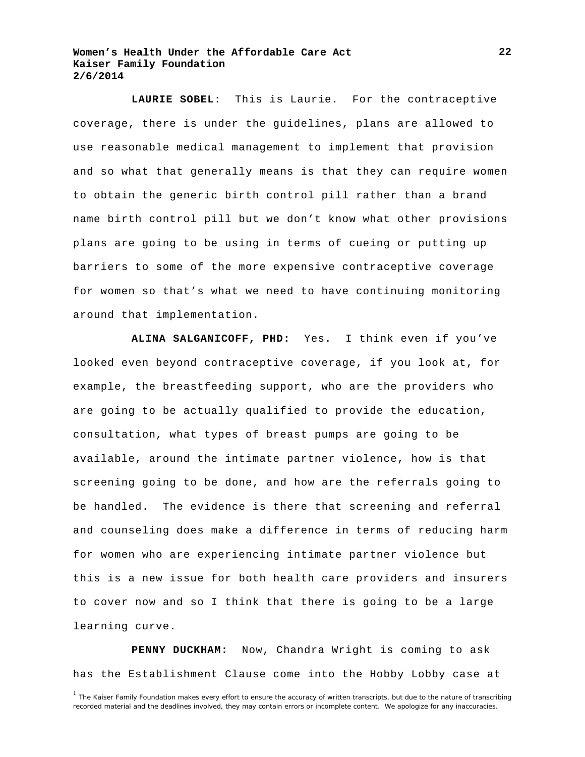**LAURIE SOBEL:** This is Laurie. For the contraceptive coverage, there is under the guidelines, plans are allowed to use reasonable medical management to implement that provision and so what that generally means is that they can require women to obtain the generic birth control pill rather than a brand name birth control pill but we don't know what other provisions plans are going to be using in terms of cueing or putting up barriers to some of the more expensive contraceptive coverage for women so that's what we need to have continuing monitoring around that implementation.

**ALINA SALGANICOFF, PHD:** Yes. I think even if you've looked even beyond contraceptive coverage, if you look at, for example, the breastfeeding support, who are the providers who are going to be actually qualified to provide the education, consultation, what types of breast pumps are going to be available, around the intimate partner violence, how is that screening going to be done, and how are the referrals going to be handled. The evidence is there that screening and referral and counseling does make a difference in terms of reducing harm for women who are experiencing intimate partner violence but this is a new issue for both health care providers and insurers to cover now and so I think that there is going to be a large learning curve.

**PENNY DUCKHAM:** Now, Chandra Wright is coming to ask has the Establishment Clause come into the Hobby Lobby case at

<sup>&</sup>lt;sup>1</sup> The Kaiser Family Foundation makes every effort to ensure the accuracy of written transcripts, but due to the nature of transcribing recorded material and the deadlines involved, they may contain errors or incomplete content. We apologize for any inaccuracies.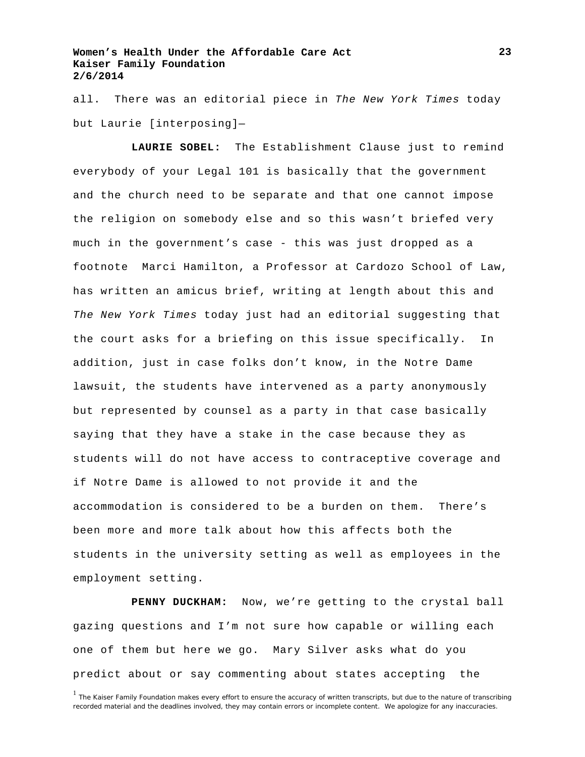all. There was an editorial piece in *The New York Times* today but Laurie [interposing]—

**LAURIE SOBEL:** The Establishment Clause just to remind everybody of your Legal 101 is basically that the government and the church need to be separate and that one cannot impose the religion on somebody else and so this wasn't briefed very much in the government's case - this was just dropped as a footnote Marci Hamilton, a Professor at Cardozo School of Law, has written an amicus brief, writing at length about this and *The New York Times* today just had an editorial suggesting that the court asks for a briefing on this issue specifically. In addition, just in case folks don't know, in the Notre Dame lawsuit, the students have intervened as a party anonymously but represented by counsel as a party in that case basically saying that they have a stake in the case because they as students will do not have access to contraceptive coverage and if Notre Dame is allowed to not provide it and the accommodation is considered to be a burden on them. There's been more and more talk about how this affects both the students in the university setting as well as employees in the employment setting.

**PENNY DUCKHAM:** Now, we're getting to the crystal ball gazing questions and I'm not sure how capable or willing each one of them but here we go. Mary Silver asks what do you predict about or say commenting about states accepting the

<sup>&</sup>lt;sup>1</sup> The Kaiser Family Foundation makes every effort to ensure the accuracy of written transcripts, but due to the nature of transcribing recorded material and the deadlines involved, they may contain errors or incomplete content. We apologize for any inaccuracies.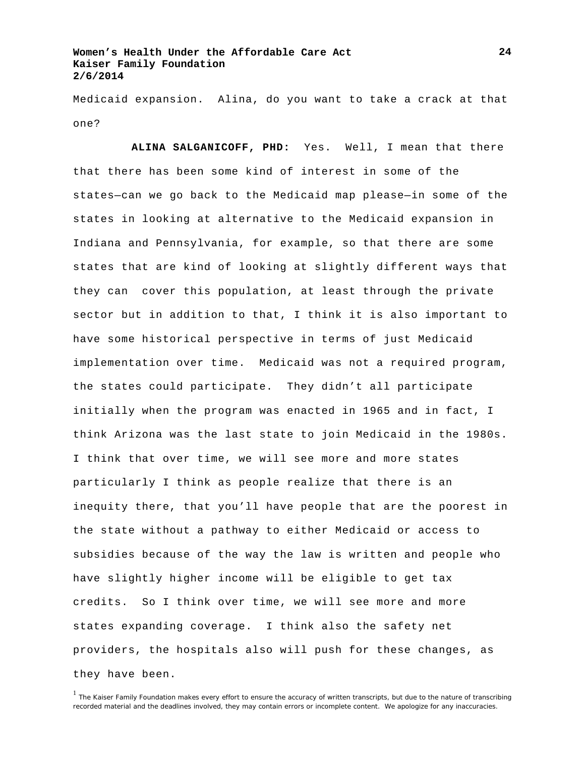Medicaid expansion. Alina, do you want to take a crack at that one?

**ALINA SALGANICOFF, PHD:** Yes. Well, I mean that there that there has been some kind of interest in some of the states—can we go back to the Medicaid map please—in some of the states in looking at alternative to the Medicaid expansion in Indiana and Pennsylvania, for example, so that there are some states that are kind of looking at slightly different ways that they can cover this population, at least through the private sector but in addition to that, I think it is also important to have some historical perspective in terms of just Medicaid implementation over time. Medicaid was not a required program, the states could participate. They didn't all participate initially when the program was enacted in 1965 and in fact, I think Arizona was the last state to join Medicaid in the 1980s. I think that over time, we will see more and more states particularly I think as people realize that there is an inequity there, that you'll have people that are the poorest in the state without a pathway to either Medicaid or access to subsidies because of the way the law is written and people who have slightly higher income will be eligible to get tax credits. So I think over time, we will see more and more states expanding coverage. I think also the safety net providers, the hospitals also will push for these changes, as they have been.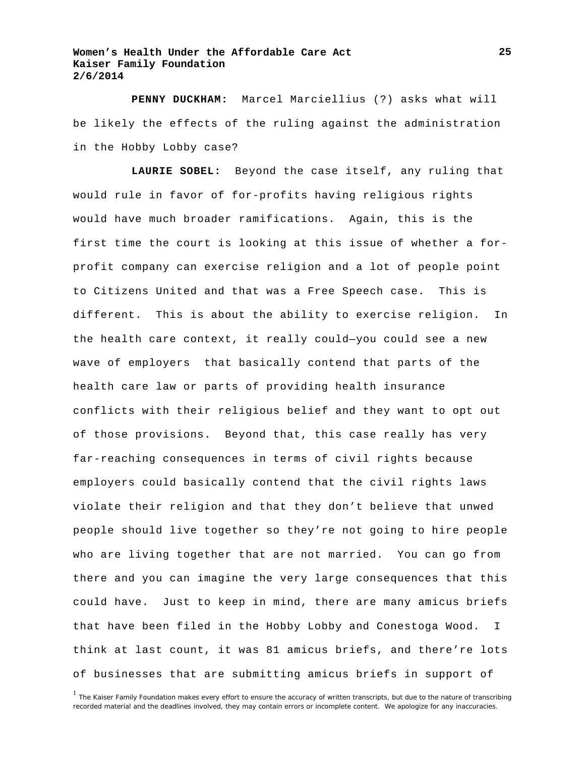**PENNY DUCKHAM:** Marcel Marciellius (?) asks what will be likely the effects of the ruling against the administration in the Hobby Lobby case?

**LAURIE SOBEL:** Beyond the case itself, any ruling that would rule in favor of for-profits having religious rights would have much broader ramifications. Again, this is the first time the court is looking at this issue of whether a forprofit company can exercise religion and a lot of people point to Citizens United and that was a Free Speech case. This is different. This is about the ability to exercise religion. In the health care context, it really could—you could see a new wave of employers that basically contend that parts of the health care law or parts of providing health insurance conflicts with their religious belief and they want to opt out of those provisions. Beyond that, this case really has very far-reaching consequences in terms of civil rights because employers could basically contend that the civil rights laws violate their religion and that they don't believe that unwed people should live together so they're not going to hire people who are living together that are not married. You can go from there and you can imagine the very large consequences that this could have. Just to keep in mind, there are many amicus briefs that have been filed in the Hobby Lobby and Conestoga Wood. I think at last count, it was 81 amicus briefs, and there're lots of businesses that are submitting amicus briefs in support of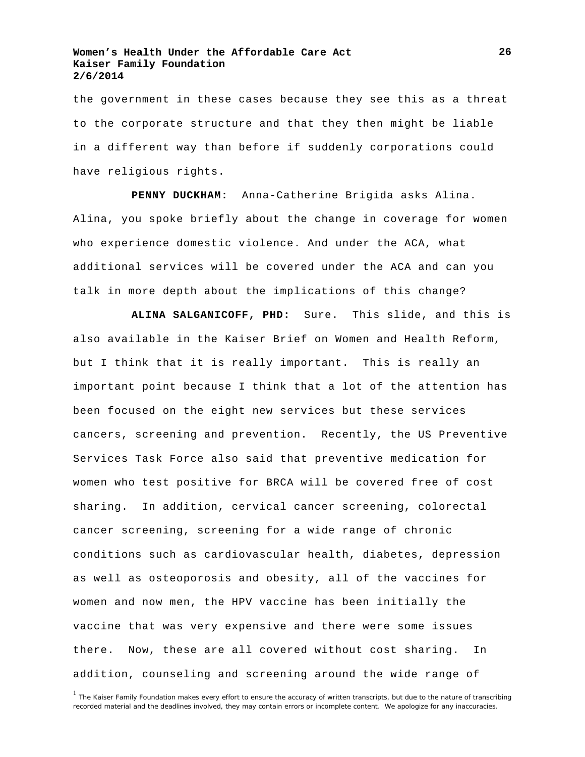the government in these cases because they see this as a threat to the corporate structure and that they then might be liable in a different way than before if suddenly corporations could have religious rights.

**PENNY DUCKHAM:** Anna-Catherine Brigida asks Alina. Alina, you spoke briefly about the change in coverage for women who experience domestic violence. And under the ACA, what additional services will be covered under the ACA and can you talk in more depth about the implications of this change?

**ALINA SALGANICOFF, PHD:** Sure. This slide, and this is also available in the Kaiser Brief on Women and Health Reform, but I think that it is really important. This is really an important point because I think that a lot of the attention has been focused on the eight new services but these services cancers, screening and prevention. Recently, the US Preventive Services Task Force also said that preventive medication for women who test positive for BRCA will be covered free of cost sharing. In addition, cervical cancer screening, colorectal cancer screening, screening for a wide range of chronic conditions such as cardiovascular health, diabetes, depression as well as osteoporosis and obesity, all of the vaccines for women and now men, the HPV vaccine has been initially the vaccine that was very expensive and there were some issues there. Now, these are all covered without cost sharing. In addition, counseling and screening around the wide range of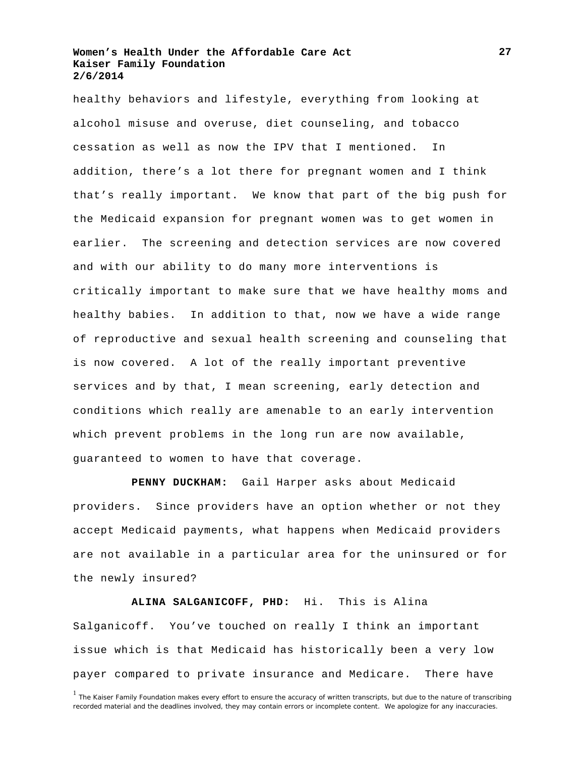healthy behaviors and lifestyle, everything from looking at alcohol misuse and overuse, diet counseling, and tobacco cessation as well as now the IPV that I mentioned. In addition, there's a lot there for pregnant women and I think that's really important. We know that part of the big push for the Medicaid expansion for pregnant women was to get women in earlier. The screening and detection services are now covered and with our ability to do many more interventions is critically important to make sure that we have healthy moms and healthy babies. In addition to that, now we have a wide range of reproductive and sexual health screening and counseling that is now covered. A lot of the really important preventive services and by that, I mean screening, early detection and conditions which really are amenable to an early intervention which prevent problems in the long run are now available, guaranteed to women to have that coverage.

**PENNY DUCKHAM:** Gail Harper asks about Medicaid providers. Since providers have an option whether or not they accept Medicaid payments, what happens when Medicaid providers are not available in a particular area for the uninsured or for the newly insured?

**ALINA SALGANICOFF, PHD:** Hi. This is Alina Salganicoff. You've touched on really I think an important issue which is that Medicaid has historically been a very low payer compared to private insurance and Medicare. There have

<sup>&</sup>lt;sup>1</sup> The Kaiser Family Foundation makes every effort to ensure the accuracy of written transcripts, but due to the nature of transcribing recorded material and the deadlines involved, they may contain errors or incomplete content. We apologize for any inaccuracies.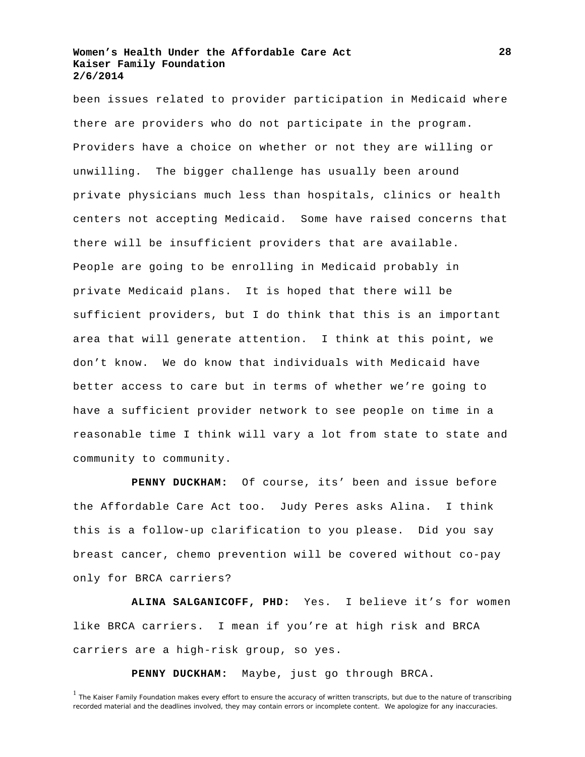been issues related to provider participation in Medicaid where there are providers who do not participate in the program. Providers have a choice on whether or not they are willing or unwilling. The bigger challenge has usually been around private physicians much less than hospitals, clinics or health centers not accepting Medicaid. Some have raised concerns that there will be insufficient providers that are available. People are going to be enrolling in Medicaid probably in private Medicaid plans. It is hoped that there will be sufficient providers, but I do think that this is an important area that will generate attention. I think at this point, we don't know. We do know that individuals with Medicaid have better access to care but in terms of whether we're going to have a sufficient provider network to see people on time in a reasonable time I think will vary a lot from state to state and community to community.

**PENNY DUCKHAM:** Of course, its' been and issue before the Affordable Care Act too. Judy Peres asks Alina. I think this is a follow-up clarification to you please. Did you say breast cancer, chemo prevention will be covered without co-pay only for BRCA carriers?

**ALINA SALGANICOFF, PHD:** Yes. I believe it's for women like BRCA carriers. I mean if you're at high risk and BRCA carriers are a high-risk group, so yes.

**PENNY DUCKHAM:** Maybe, just go through BRCA.

<sup>&</sup>lt;sup>1</sup> The Kaiser Family Foundation makes every effort to ensure the accuracy of written transcripts, but due to the nature of transcribing recorded material and the deadlines involved, they may contain errors or incomplete content. We apologize for any inaccuracies.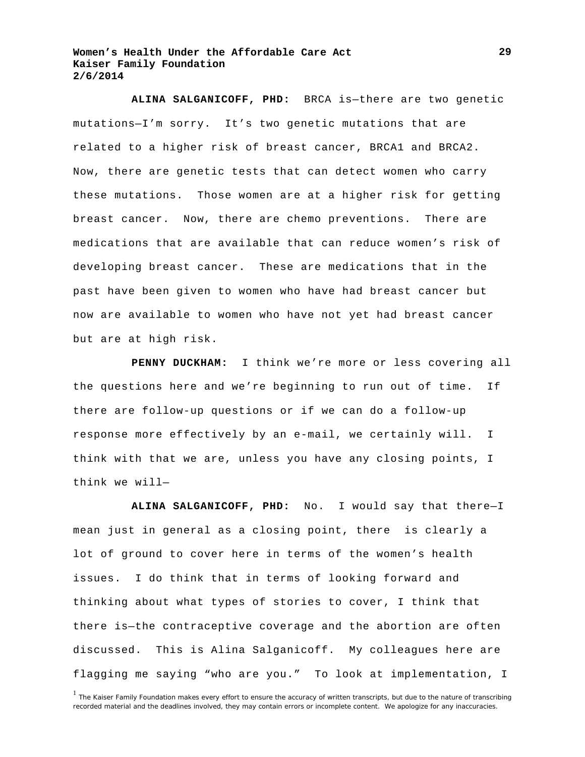**ALINA SALGANICOFF, PHD:** BRCA is—there are two genetic mutations—I'm sorry. It's two genetic mutations that are related to a higher risk of breast cancer, BRCA1 and BRCA2. Now, there are genetic tests that can detect women who carry these mutations. Those women are at a higher risk for getting breast cancer. Now, there are chemo preventions. There are medications that are available that can reduce women's risk of developing breast cancer. These are medications that in the past have been given to women who have had breast cancer but now are available to women who have not yet had breast cancer but are at high risk.

**PENNY DUCKHAM:** I think we're more or less covering all the questions here and we're beginning to run out of time. If there are follow-up questions or if we can do a follow-up response more effectively by an e-mail, we certainly will. I think with that we are, unless you have any closing points, I think we will—

**ALINA SALGANICOFF, PHD:** No. I would say that there—I mean just in general as a closing point, there is clearly a lot of ground to cover here in terms of the women's health issues. I do think that in terms of looking forward and thinking about what types of stories to cover, I think that there is—the contraceptive coverage and the abortion are often discussed. This is Alina Salganicoff. My colleagues here are flagging me saying "who are you." To look at implementation, I

<sup>&</sup>lt;sup>1</sup> The Kaiser Family Foundation makes every effort to ensure the accuracy of written transcripts, but due to the nature of transcribing recorded material and the deadlines involved, they may contain errors or incomplete content. We apologize for any inaccuracies.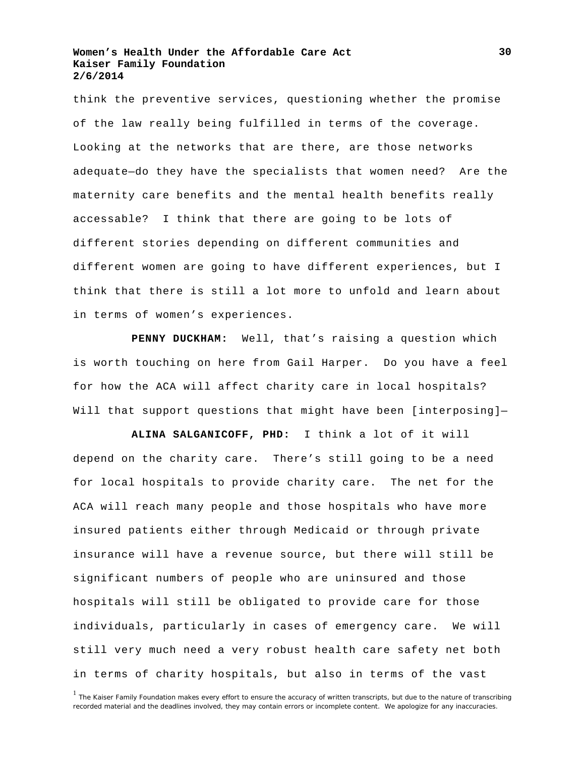think the preventive services, questioning whether the promise of the law really being fulfilled in terms of the coverage. Looking at the networks that are there, are those networks adequate—do they have the specialists that women need? Are the maternity care benefits and the mental health benefits really accessable? I think that there are going to be lots of different stories depending on different communities and different women are going to have different experiences, but I think that there is still a lot more to unfold and learn about in terms of women's experiences.

**PENNY DUCKHAM:** Well, that's raising a question which is worth touching on here from Gail Harper. Do you have a feel for how the ACA will affect charity care in local hospitals? Will that support questions that might have been [interposing]-

**ALINA SALGANICOFF, PHD:** I think a lot of it will depend on the charity care. There's still going to be a need for local hospitals to provide charity care. The net for the ACA will reach many people and those hospitals who have more insured patients either through Medicaid or through private insurance will have a revenue source, but there will still be significant numbers of people who are uninsured and those hospitals will still be obligated to provide care for those individuals, particularly in cases of emergency care. We will still very much need a very robust health care safety net both in terms of charity hospitals, but also in terms of the vast